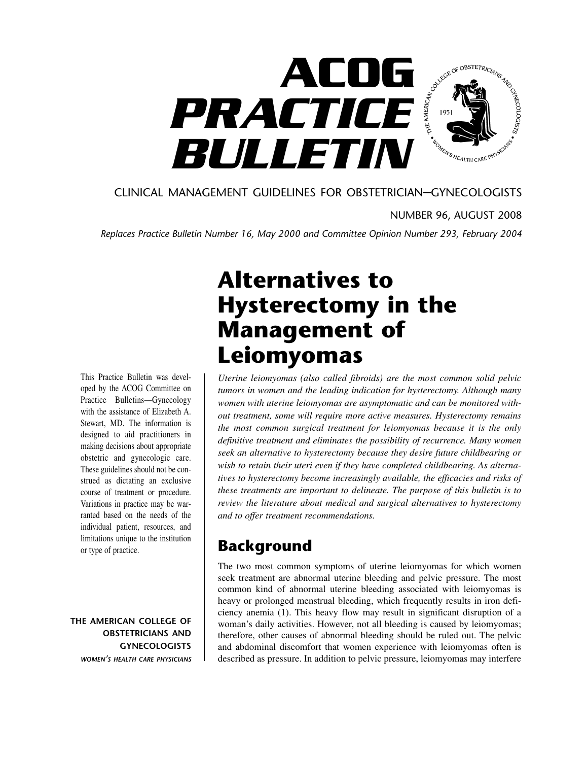

# CLINICAL MANAGEMENT GUIDELINES FOR OBSTETRICIAN–GYNECOLOGISTS

### NUMBER 96, AUGUST 2008

*Replaces Practice Bulletin Number 16, May 2000 and Committee Opinion Number 293, February 2004*

This Practice Bulletin was developed by the ACOG Committee on Practice Bulletins—Gynecology with the assistance of Elizabeth A. Stewart, MD. The information is designed to aid practitioners in making decisions about appropriate obstetric and gynecologic care. These guidelines should not be construed as dictating an exclusive course of treatment or procedure. Variations in practice may be warranted based on the needs of the individual patient, resources, and limitations unique to the institution or type of practice.

**THE AMERICAN COLLEGE OF OBSTETRICIANS AND GYNECOLOGISTS** *WOMEN'S HEALTH CARE PHYSICIANS*

# **Alternatives to Hysterectomy in the Management of Leiomyomas**

*Uterine leiomyomas (also called fibroids) are the most common solid pelvic tumors in women and the leading indication for hysterectomy. Although many women with uterine leiomyomas are asymptomatic and can be monitored without treatment, some will require more active measures. Hysterectomy remains the most common surgical treatment for leiomyomas because it is the only definitive treatment and eliminates the possibility of recurrence. Many women seek an alternative to hysterectomy because they desire future childbearing or wish to retain their uteri even if they have completed childbearing. As alternatives to hysterectomy become increasingly available, the efficacies and risks of these treatments are important to delineate. The purpose of this bulletin is to review the literature about medical and surgical alternatives to hysterectomy and to offer treatment recommendations.*

# **Background**

The two most common symptoms of uterine leiomyomas for which women seek treatment are abnormal uterine bleeding and pelvic pressure. The most common kind of abnormal uterine bleeding associated with leiomyomas is heavy or prolonged menstrual bleeding, which frequently results in iron deficiency anemia (1). This heavy flow may result in significant disruption of a woman's daily activities. However, not all bleeding is caused by leiomyomas; therefore, other causes of abnormal bleeding should be ruled out. The pelvic and abdominal discomfort that women experience with leiomyomas often is described as pressure. In addition to pelvic pressure, leiomyomas may interfere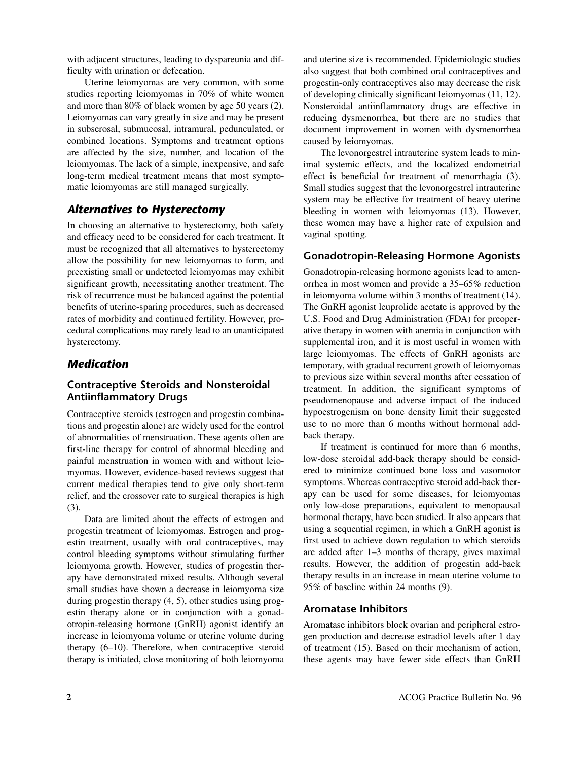with adjacent structures, leading to dyspareunia and difficulty with urination or defecation.

Uterine leiomyomas are very common, with some studies reporting leiomyomas in 70% of white women and more than 80% of black women by age 50 years (2). Leiomyomas can vary greatly in size and may be present in subserosal, submucosal, intramural, pedunculated, or combined locations. Symptoms and treatment options are affected by the size, number, and location of the leiomyomas. The lack of a simple, inexpensive, and safe long-term medical treatment means that most symptomatic leiomyomas are still managed surgically.

# *Alternatives to Hysterectomy*

In choosing an alternative to hysterectomy, both safety and efficacy need to be considered for each treatment. It must be recognized that all alternatives to hysterectomy allow the possibility for new leiomyomas to form, and preexisting small or undetected leiomyomas may exhibit significant growth, necessitating another treatment. The risk of recurrence must be balanced against the potential benefits of uterine-sparing procedures, such as decreased rates of morbidity and continued fertility. However, procedural complications may rarely lead to an unanticipated hysterectomy.

# *Medication*

#### **Contraceptive Steroids and Nonsteroidal Antiinflammatory Drugs**

Contraceptive steroids (estrogen and progestin combinations and progestin alone) are widely used for the control of abnormalities of menstruation. These agents often are first-line therapy for control of abnormal bleeding and painful menstruation in women with and without leiomyomas. However, evidence-based reviews suggest that current medical therapies tend to give only short-term relief, and the crossover rate to surgical therapies is high (3).

Data are limited about the effects of estrogen and progestin treatment of leiomyomas. Estrogen and progestin treatment, usually with oral contraceptives, may control bleeding symptoms without stimulating further leiomyoma growth. However, studies of progestin therapy have demonstrated mixed results. Although several small studies have shown a decrease in leiomyoma size during progestin therapy (4, 5), other studies using progestin therapy alone or in conjunction with a gonadotropin-releasing hormone (GnRH) agonist identify an increase in leiomyoma volume or uterine volume during therapy (6–10). Therefore, when contraceptive steroid therapy is initiated, close monitoring of both leiomyoma and uterine size is recommended. Epidemiologic studies also suggest that both combined oral contraceptives and progestin-only contraceptives also may decrease the risk of developing clinically significant leiomyomas (11, 12). Nonsteroidal antiinflammatory drugs are effective in reducing dysmenorrhea, but there are no studies that document improvement in women with dysmenorrhea caused by leiomyomas.

The levonorgestrel intrauterine system leads to minimal systemic effects, and the localized endometrial effect is beneficial for treatment of menorrhagia (3). Small studies suggest that the levonorgestrel intrauterine system may be effective for treatment of heavy uterine bleeding in women with leiomyomas (13). However, these women may have a higher rate of expulsion and vaginal spotting.

#### **Gonadotropin-Releasing Hormone Agonists**

Gonadotropin-releasing hormone agonists lead to amenorrhea in most women and provide a 35–65% reduction in leiomyoma volume within 3 months of treatment (14). The GnRH agonist leuprolide acetate is approved by the U.S. Food and Drug Administration (FDA) for preoperative therapy in women with anemia in conjunction with supplemental iron, and it is most useful in women with large leiomyomas. The effects of GnRH agonists are temporary, with gradual recurrent growth of leiomyomas to previous size within several months after cessation of treatment. In addition, the significant symptoms of pseudomenopause and adverse impact of the induced hypoestrogenism on bone density limit their suggested use to no more than 6 months without hormonal addback therapy.

If treatment is continued for more than 6 months, low-dose steroidal add-back therapy should be considered to minimize continued bone loss and vasomotor symptoms. Whereas contraceptive steroid add-back therapy can be used for some diseases, for leiomyomas only low-dose preparations, equivalent to menopausal hormonal therapy, have been studied. It also appears that using a sequential regimen, in which a GnRH agonist is first used to achieve down regulation to which steroids are added after 1–3 months of therapy, gives maximal results. However, the addition of progestin add-back therapy results in an increase in mean uterine volume to 95% of baseline within 24 months (9).

#### **Aromatase Inhibitors**

Aromatase inhibitors block ovarian and peripheral estrogen production and decrease estradiol levels after 1 day of treatment (15). Based on their mechanism of action, these agents may have fewer side effects than GnRH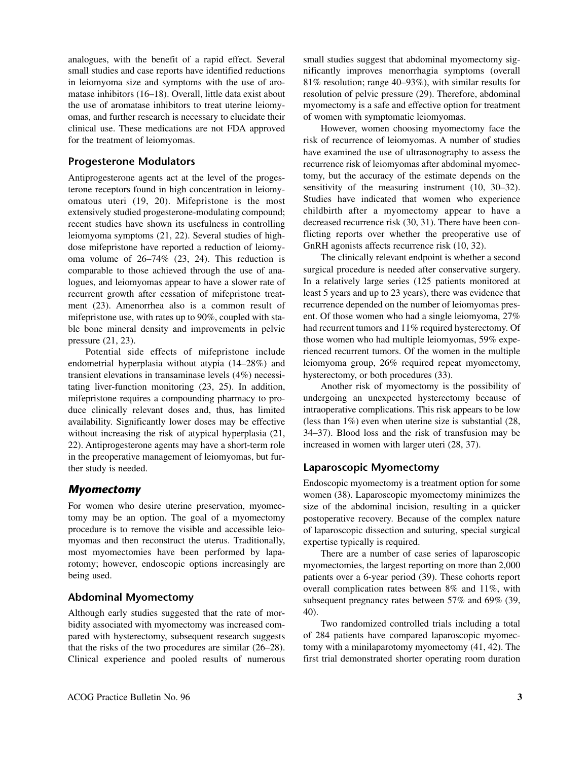analogues, with the benefit of a rapid effect. Several small studies and case reports have identified reductions in leiomyoma size and symptoms with the use of aromatase inhibitors (16–18). Overall, little data exist about the use of aromatase inhibitors to treat uterine leiomyomas, and further research is necessary to elucidate their clinical use. These medications are not FDA approved for the treatment of leiomyomas.

#### **Progesterone Modulators**

Antiprogesterone agents act at the level of the progesterone receptors found in high concentration in leiomyomatous uteri (19, 20). Mifepristone is the most extensively studied progesterone-modulating compound; recent studies have shown its usefulness in controlling leiomyoma symptoms (21, 22). Several studies of highdose mifepristone have reported a reduction of leiomyoma volume of 26–74% (23, 24). This reduction is comparable to those achieved through the use of analogues, and leiomyomas appear to have a slower rate of recurrent growth after cessation of mifepristone treatment (23). Amenorrhea also is a common result of mifepristone use, with rates up to 90%, coupled with stable bone mineral density and improvements in pelvic pressure (21, 23).

Potential side effects of mifepristone include endometrial hyperplasia without atypia (14–28%) and transient elevations in transaminase levels (4%) necessitating liver-function monitoring (23, 25). In addition, mifepristone requires a compounding pharmacy to produce clinically relevant doses and, thus, has limited availability. Significantly lower doses may be effective without increasing the risk of atypical hyperplasia (21, 22). Antiprogesterone agents may have a short-term role in the preoperative management of leiomyomas, but further study is needed.

#### *Myomectomy*

For women who desire uterine preservation, myomectomy may be an option. The goal of a myomectomy procedure is to remove the visible and accessible leiomyomas and then reconstruct the uterus. Traditionally, most myomectomies have been performed by laparotomy; however, endoscopic options increasingly are being used.

#### **Abdominal Myomectomy**

Although early studies suggested that the rate of morbidity associated with myomectomy was increased compared with hysterectomy, subsequent research suggests that the risks of the two procedures are similar (26–28). Clinical experience and pooled results of numerous small studies suggest that abdominal myomectomy significantly improves menorrhagia symptoms (overall 81% resolution; range 40–93%), with similar results for resolution of pelvic pressure (29). Therefore, abdominal myomectomy is a safe and effective option for treatment of women with symptomatic leiomyomas.

However, women choosing myomectomy face the risk of recurrence of leiomyomas. A number of studies have examined the use of ultrasonography to assess the recurrence risk of leiomyomas after abdominal myomectomy, but the accuracy of the estimate depends on the sensitivity of the measuring instrument (10, 30–32). Studies have indicated that women who experience childbirth after a myomectomy appear to have a decreased recurrence risk (30, 31). There have been conflicting reports over whether the preoperative use of GnRH agonists affects recurrence risk (10, 32).

The clinically relevant endpoint is whether a second surgical procedure is needed after conservative surgery. In a relatively large series (125 patients monitored at least 5 years and up to 23 years), there was evidence that recurrence depended on the number of leiomyomas present. Of those women who had a single leiomyoma, 27% had recurrent tumors and 11% required hysterectomy. Of those women who had multiple leiomyomas, 59% experienced recurrent tumors. Of the women in the multiple leiomyoma group, 26% required repeat myomectomy, hysterectomy, or both procedures (33).

Another risk of myomectomy is the possibility of undergoing an unexpected hysterectomy because of intraoperative complications. This risk appears to be low (less than 1%) even when uterine size is substantial (28, 34–37). Blood loss and the risk of transfusion may be increased in women with larger uteri (28, 37).

#### **Laparoscopic Myomectomy**

Endoscopic myomectomy is a treatment option for some women (38). Laparoscopic myomectomy minimizes the size of the abdominal incision, resulting in a quicker postoperative recovery. Because of the complex nature of laparoscopic dissection and suturing, special surgical expertise typically is required.

There are a number of case series of laparoscopic myomectomies, the largest reporting on more than 2,000 patients over a 6-year period (39). These cohorts report overall complication rates between 8% and 11%, with subsequent pregnancy rates between 57% and 69% (39, 40).

Two randomized controlled trials including a total of 284 patients have compared laparoscopic myomectomy with a minilaparotomy myomectomy (41, 42). The first trial demonstrated shorter operating room duration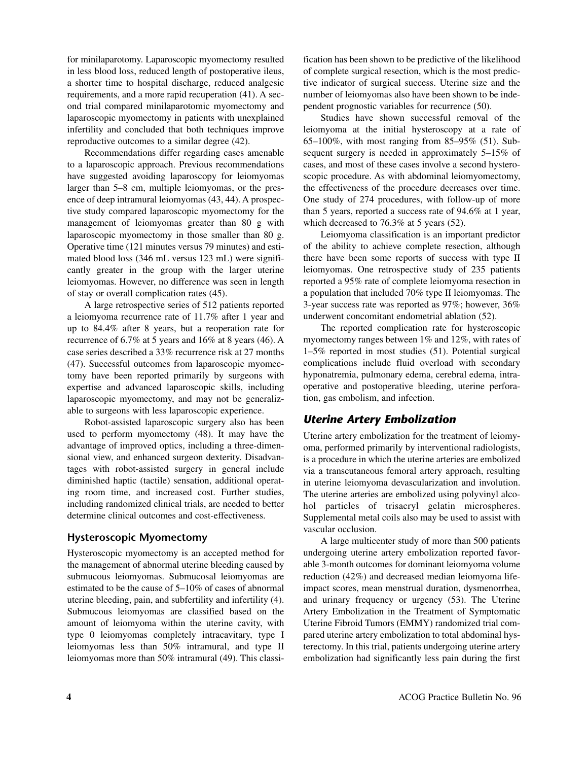for minilaparotomy. Laparoscopic myomectomy resulted in less blood loss, reduced length of postoperative ileus, a shorter time to hospital discharge, reduced analgesic requirements, and a more rapid recuperation (41). A second trial compared minilaparotomic myomectomy and laparoscopic myomectomy in patients with unexplained infertility and concluded that both techniques improve reproductive outcomes to a similar degree (42).

Recommendations differ regarding cases amenable to a laparoscopic approach. Previous recommendations have suggested avoiding laparoscopy for leiomyomas larger than 5–8 cm, multiple leiomyomas, or the presence of deep intramural leiomyomas (43, 44). A prospective study compared laparoscopic myomectomy for the management of leiomyomas greater than 80 g with laparoscopic myomectomy in those smaller than 80 g. Operative time (121 minutes versus 79 minutes) and estimated blood loss (346 mL versus 123 mL) were significantly greater in the group with the larger uterine leiomyomas. However, no difference was seen in length of stay or overall complication rates (45).

A large retrospective series of 512 patients reported a leiomyoma recurrence rate of 11.7% after 1 year and up to 84.4% after 8 years, but a reoperation rate for recurrence of 6.7% at 5 years and 16% at 8 years (46). A case series described a 33% recurrence risk at 27 months (47). Successful outcomes from laparoscopic myomectomy have been reported primarily by surgeons with expertise and advanced laparoscopic skills, including laparoscopic myomectomy, and may not be generalizable to surgeons with less laparoscopic experience.

Robot-assisted laparoscopic surgery also has been used to perform myomectomy (48). It may have the advantage of improved optics, including a three-dimensional view, and enhanced surgeon dexterity. Disadvantages with robot-assisted surgery in general include diminished haptic (tactile) sensation, additional operating room time, and increased cost. Further studies, including randomized clinical trials, are needed to better determine clinical outcomes and cost-effectiveness.

#### **Hysteroscopic Myomectomy**

Hysteroscopic myomectomy is an accepted method for the management of abnormal uterine bleeding caused by submucous leiomyomas. Submucosal leiomyomas are estimated to be the cause of 5–10% of cases of abnormal uterine bleeding, pain, and subfertility and infertility (4). Submucous leiomyomas are classified based on the amount of leiomyoma within the uterine cavity, with type 0 leiomyomas completely intracavitary, type I leiomyomas less than 50% intramural, and type II leiomyomas more than 50% intramural (49). This classification has been shown to be predictive of the likelihood of complete surgical resection, which is the most predictive indicator of surgical success. Uterine size and the number of leiomyomas also have been shown to be independent prognostic variables for recurrence (50).

Studies have shown successful removal of the leiomyoma at the initial hysteroscopy at a rate of 65–100%, with most ranging from 85–95% (51). Subsequent surgery is needed in approximately 5–15% of cases, and most of these cases involve a second hysteroscopic procedure. As with abdominal leiomyomectomy, the effectiveness of the procedure decreases over time. One study of 274 procedures, with follow-up of more than 5 years, reported a success rate of 94.6% at 1 year, which decreased to 76.3% at 5 years (52).

Leiomyoma classification is an important predictor of the ability to achieve complete resection, although there have been some reports of success with type II leiomyomas. One retrospective study of 235 patients reported a 95% rate of complete leiomyoma resection in a population that included 70% type II leiomyomas. The 3-year success rate was reported as 97%; however, 36% underwent concomitant endometrial ablation (52).

The reported complication rate for hysteroscopic myomectomy ranges between 1% and 12%, with rates of 1–5% reported in most studies (51). Potential surgical complications include fluid overload with secondary hyponatremia, pulmonary edema, cerebral edema, intraoperative and postoperative bleeding, uterine perforation, gas embolism, and infection.

#### *Uterine Artery Embolization*

Uterine artery embolization for the treatment of leiomyoma, performed primarily by interventional radiologists, is a procedure in which the uterine arteries are embolized via a transcutaneous femoral artery approach, resulting in uterine leiomyoma devascularization and involution. The uterine arteries are embolized using polyvinyl alcohol particles of trisacryl gelatin microspheres. Supplemental metal coils also may be used to assist with vascular occlusion.

A large multicenter study of more than 500 patients undergoing uterine artery embolization reported favorable 3-month outcomes for dominant leiomyoma volume reduction (42%) and decreased median leiomyoma lifeimpact scores, mean menstrual duration, dysmenorrhea, and urinary frequency or urgency (53). The Uterine Artery Embolization in the Treatment of Symptomatic Uterine Fibroid Tumors (EMMY) randomized trial compared uterine artery embolization to total abdominal hysterectomy. In this trial, patients undergoing uterine artery embolization had significantly less pain during the first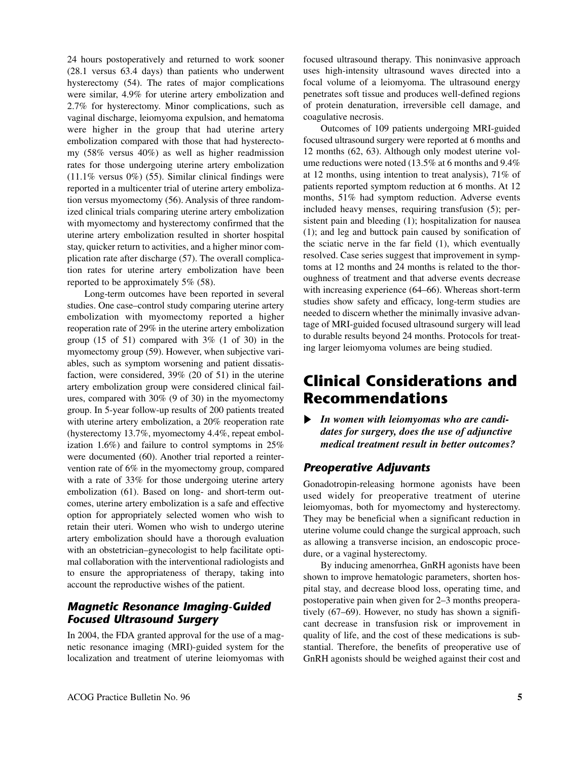24 hours postoperatively and returned to work sooner (28.1 versus 63.4 days) than patients who underwent hysterectomy (54). The rates of major complications were similar, 4.9% for uterine artery embolization and 2.7% for hysterectomy. Minor complications, such as vaginal discharge, leiomyoma expulsion, and hematoma were higher in the group that had uterine artery embolization compared with those that had hysterectomy (58% versus 40%) as well as higher readmission rates for those undergoing uterine artery embolization  $(11.1\%$  versus 0%) (55). Similar clinical findings were reported in a multicenter trial of uterine artery embolization versus myomectomy (56). Analysis of three randomized clinical trials comparing uterine artery embolization with myomectomy and hysterectomy confirmed that the uterine artery embolization resulted in shorter hospital stay, quicker return to activities, and a higher minor complication rate after discharge (57). The overall complication rates for uterine artery embolization have been reported to be approximately 5% (58).

Long-term outcomes have been reported in several studies. One case–control study comparing uterine artery embolization with myomectomy reported a higher reoperation rate of 29% in the uterine artery embolization group (15 of 51) compared with 3% (1 of 30) in the myomectomy group (59). However, when subjective variables, such as symptom worsening and patient dissatisfaction, were considered, 39% (20 of 51) in the uterine artery embolization group were considered clinical failures, compared with 30% (9 of 30) in the myomectomy group. In 5-year follow-up results of 200 patients treated with uterine artery embolization, a 20% reoperation rate (hysterectomy 13.7%, myomectomy 4.4%, repeat embolization 1.6%) and failure to control symptoms in 25% were documented (60). Another trial reported a reintervention rate of 6% in the myomectomy group, compared with a rate of 33% for those undergoing uterine artery embolization (61). Based on long- and short-term outcomes, uterine artery embolization is a safe and effective option for appropriately selected women who wish to retain their uteri. Women who wish to undergo uterine artery embolization should have a thorough evaluation with an obstetrician–gynecologist to help facilitate optimal collaboration with the interventional radiologists and to ensure the appropriateness of therapy, taking into account the reproductive wishes of the patient.

# *Magnetic Resonance Imaging-Guided Focused Ultrasound Surgery*

In 2004, the FDA granted approval for the use of a magnetic resonance imaging (MRI)-guided system for the localization and treatment of uterine leiomyomas with focused ultrasound therapy. This noninvasive approach uses high-intensity ultrasound waves directed into a focal volume of a leiomyoma. The ultrasound energy penetrates soft tissue and produces well-defined regions of protein denaturation, irreversible cell damage, and coagulative necrosis.

Outcomes of 109 patients undergoing MRI-guided focused ultrasound surgery were reported at 6 months and 12 months (62, 63). Although only modest uterine volume reductions were noted (13.5% at 6 months and 9.4% at 12 months, using intention to treat analysis), 71% of patients reported symptom reduction at 6 months. At 12 months, 51% had symptom reduction. Adverse events included heavy menses, requiring transfusion (5); persistent pain and bleeding (1); hospitalization for nausea (1); and leg and buttock pain caused by sonification of the sciatic nerve in the far field (1), which eventually resolved. Case series suggest that improvement in symptoms at 12 months and 24 months is related to the thoroughness of treatment and that adverse events decrease with increasing experience (64–66). Whereas short-term studies show safety and efficacy, long-term studies are needed to discern whether the minimally invasive advantage of MRI-guided focused ultrasound surgery will lead to durable results beyond 24 months. Protocols for treating larger leiomyoma volumes are being studied.

# **Clinical Considerations and Recommendations**

*In women with leiomyomas who are candidates for surgery, does the use of adjunctive medical treatment result in better outcomes?*

# *Preoperative Adjuvants*

Gonadotropin-releasing hormone agonists have been used widely for preoperative treatment of uterine leiomyomas, both for myomectomy and hysterectomy. They may be beneficial when a significant reduction in uterine volume could change the surgical approach, such as allowing a transverse incision, an endoscopic procedure, or a vaginal hysterectomy.

By inducing amenorrhea, GnRH agonists have been shown to improve hematologic parameters, shorten hospital stay, and decrease blood loss, operating time, and postoperative pain when given for 2–3 months preoperatively (67–69). However, no study has shown a significant decrease in transfusion risk or improvement in quality of life, and the cost of these medications is substantial. Therefore, the benefits of preoperative use of GnRH agonists should be weighed against their cost and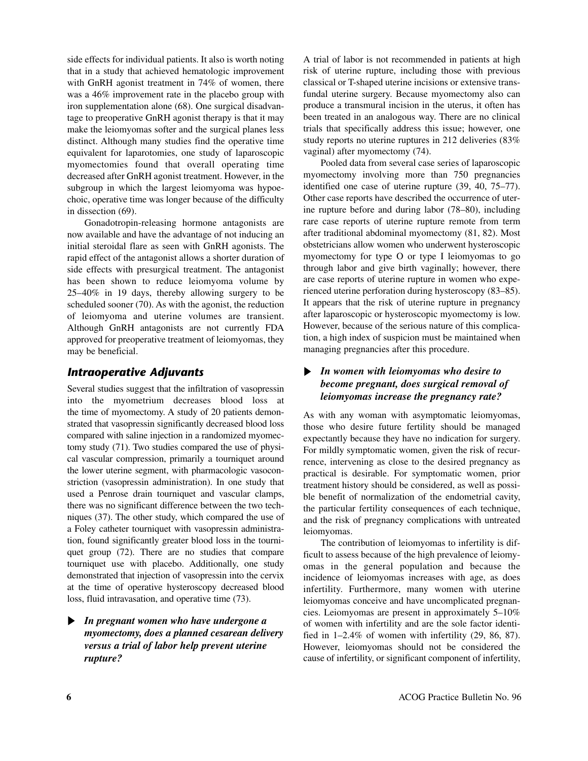side effects for individual patients. It also is worth noting that in a study that achieved hematologic improvement with GnRH agonist treatment in 74% of women, there was a 46% improvement rate in the placebo group with iron supplementation alone (68). One surgical disadvantage to preoperative GnRH agonist therapy is that it may make the leiomyomas softer and the surgical planes less distinct. Although many studies find the operative time equivalent for laparotomies, one study of laparoscopic myomectomies found that overall operating time decreased after GnRH agonist treatment. However, in the subgroup in which the largest leiomyoma was hypoechoic, operative time was longer because of the difficulty in dissection (69).

Gonadotropin-releasing hormone antagonists are now available and have the advantage of not inducing an initial steroidal flare as seen with GnRH agonists. The rapid effect of the antagonist allows a shorter duration of side effects with presurgical treatment. The antagonist has been shown to reduce leiomyoma volume by 25–40% in 19 days, thereby allowing surgery to be scheduled sooner (70). As with the agonist, the reduction of leiomyoma and uterine volumes are transient. Although GnRH antagonists are not currently FDA approved for preoperative treatment of leiomyomas, they may be beneficial.

### *Intraoperative Adjuvants*

Several studies suggest that the infiltration of vasopressin into the myometrium decreases blood loss at the time of myomectomy. A study of 20 patients demonstrated that vasopressin significantly decreased blood loss compared with saline injection in a randomized myomectomy study (71). Two studies compared the use of physical vascular compression, primarily a tourniquet around the lower uterine segment, with pharmacologic vasoconstriction (vasopressin administration). In one study that used a Penrose drain tourniquet and vascular clamps, there was no significant difference between the two techniques (37). The other study, which compared the use of a Foley catheter tourniquet with vasopressin administration, found significantly greater blood loss in the tourniquet group (72). There are no studies that compare tourniquet use with placebo. Additionally, one study demonstrated that injection of vasopressin into the cervix at the time of operative hysteroscopy decreased blood loss, fluid intravasation, and operative time (73).

### *In pregnant women who have undergone a myomectomy, does a planned cesarean delivery versus a trial of labor help prevent uterine rupture?*

A trial of labor is not recommended in patients at high risk of uterine rupture, including those with previous classical or T-shaped uterine incisions or extensive transfundal uterine surgery. Because myomectomy also can produce a transmural incision in the uterus, it often has been treated in an analogous way. There are no clinical trials that specifically address this issue; however, one study reports no uterine ruptures in 212 deliveries (83% vaginal) after myomectomy (74).

Pooled data from several case series of laparoscopic myomectomy involving more than 750 pregnancies identified one case of uterine rupture (39, 40, 75–77). Other case reports have described the occurrence of uterine rupture before and during labor (78–80), including rare case reports of uterine rupture remote from term after traditional abdominal myomectomy (81, 82). Most obstetricians allow women who underwent hysteroscopic myomectomy for type O or type I leiomyomas to go through labor and give birth vaginally; however, there are case reports of uterine rupture in women who experienced uterine perforation during hysteroscopy (83–85). It appears that the risk of uterine rupture in pregnancy after laparoscopic or hysteroscopic myomectomy is low. However, because of the serious nature of this complication, a high index of suspicion must be maintained when managing pregnancies after this procedure.

### *In women with leiomyomas who desire to become pregnant, does surgical removal of leiomyomas increase the pregnancy rate?*

As with any woman with asymptomatic leiomyomas, those who desire future fertility should be managed expectantly because they have no indication for surgery. For mildly symptomatic women, given the risk of recurrence, intervening as close to the desired pregnancy as practical is desirable. For symptomatic women, prior treatment history should be considered, as well as possible benefit of normalization of the endometrial cavity, the particular fertility consequences of each technique, and the risk of pregnancy complications with untreated leiomyomas.

The contribution of leiomyomas to infertility is difficult to assess because of the high prevalence of leiomyomas in the general population and because the incidence of leiomyomas increases with age, as does infertility. Furthermore, many women with uterine leiomyomas conceive and have uncomplicated pregnancies. Leiomyomas are present in approximately 5–10% of women with infertility and are the sole factor identified in 1–2.4% of women with infertility (29, 86, 87). However, leiomyomas should not be considered the cause of infertility, or significant component of infertility,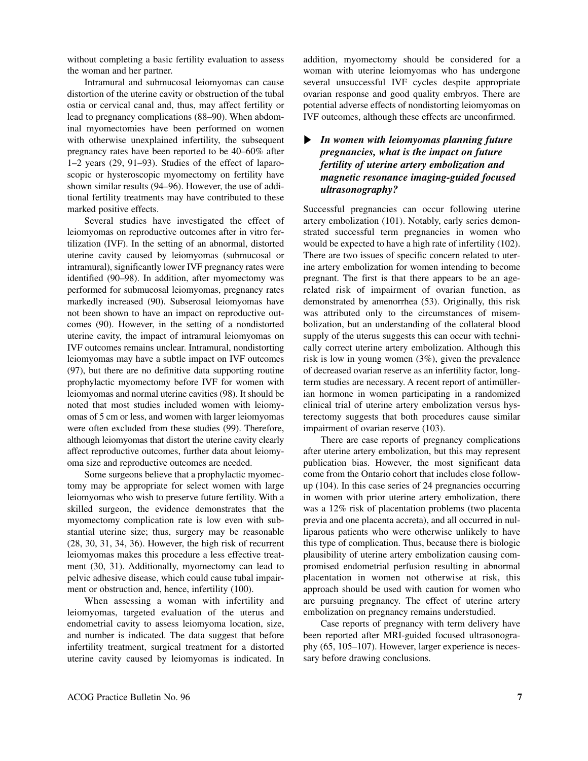without completing a basic fertility evaluation to assess the woman and her partner.

Intramural and submucosal leiomyomas can cause distortion of the uterine cavity or obstruction of the tubal ostia or cervical canal and, thus, may affect fertility or lead to pregnancy complications (88–90). When abdominal myomectomies have been performed on women with otherwise unexplained infertility, the subsequent pregnancy rates have been reported to be 40–60% after 1–2 years (29, 91–93). Studies of the effect of laparoscopic or hysteroscopic myomectomy on fertility have shown similar results (94–96). However, the use of additional fertility treatments may have contributed to these marked positive effects.

Several studies have investigated the effect of leiomyomas on reproductive outcomes after in vitro fertilization (IVF). In the setting of an abnormal, distorted uterine cavity caused by leiomyomas (submucosal or intramural), significantly lower IVF pregnancy rates were identified (90–98). In addition, after myomectomy was performed for submucosal leiomyomas, pregnancy rates markedly increased (90). Subserosal leiomyomas have not been shown to have an impact on reproductive outcomes (90). However, in the setting of a nondistorted uterine cavity, the impact of intramural leiomyomas on IVF outcomes remains unclear. Intramural, nondistorting leiomyomas may have a subtle impact on IVF outcomes (97), but there are no definitive data supporting routine prophylactic myomectomy before IVF for women with leiomyomas and normal uterine cavities (98). It should be noted that most studies included women with leiomyomas of 5 cm or less, and women with larger leiomyomas were often excluded from these studies (99). Therefore, although leiomyomas that distort the uterine cavity clearly affect reproductive outcomes, further data about leiomyoma size and reproductive outcomes are needed.

Some surgeons believe that a prophylactic myomectomy may be appropriate for select women with large leiomyomas who wish to preserve future fertility. With a skilled surgeon, the evidence demonstrates that the myomectomy complication rate is low even with substantial uterine size; thus, surgery may be reasonable (28, 30, 31, 34, 36). However, the high risk of recurrent leiomyomas makes this procedure a less effective treatment (30, 31). Additionally, myomectomy can lead to pelvic adhesive disease, which could cause tubal impairment or obstruction and, hence, infertility (100).

When assessing a woman with infertility and leiomyomas, targeted evaluation of the uterus and endometrial cavity to assess leiomyoma location, size, and number is indicated. The data suggest that before infertility treatment, surgical treatment for a distorted uterine cavity caused by leiomyomas is indicated. In

addition, myomectomy should be considered for a woman with uterine leiomyomas who has undergone several unsuccessful IVF cycles despite appropriate ovarian response and good quality embryos. There are potential adverse effects of nondistorting leiomyomas on IVF outcomes, although these effects are unconfirmed.

### *In women with leiomyomas planning future pregnancies, what is the impact on future fertility of uterine artery embolization and magnetic resonance imaging-guided focused ultrasonography?*

Successful pregnancies can occur following uterine artery embolization (101). Notably, early series demonstrated successful term pregnancies in women who would be expected to have a high rate of infertility (102). There are two issues of specific concern related to uterine artery embolization for women intending to become pregnant. The first is that there appears to be an agerelated risk of impairment of ovarian function, as demonstrated by amenorrhea (53). Originally, this risk was attributed only to the circumstances of misembolization, but an understanding of the collateral blood supply of the uterus suggests this can occur with technically correct uterine artery embolization. Although this risk is low in young women (3%), given the prevalence of decreased ovarian reserve as an infertility factor, longterm studies are necessary. A recent report of antimüllerian hormone in women participating in a randomized clinical trial of uterine artery embolization versus hysterectomy suggests that both procedures cause similar impairment of ovarian reserve (103).

There are case reports of pregnancy complications after uterine artery embolization, but this may represent publication bias. However, the most significant data come from the Ontario cohort that includes close followup (104). In this case series of 24 pregnancies occurring in women with prior uterine artery embolization, there was a 12% risk of placentation problems (two placenta previa and one placenta accreta), and all occurred in nulliparous patients who were otherwise unlikely to have this type of complication. Thus, because there is biologic plausibility of uterine artery embolization causing compromised endometrial perfusion resulting in abnormal placentation in women not otherwise at risk, this approach should be used with caution for women who are pursuing pregnancy. The effect of uterine artery embolization on pregnancy remains understudied.

Case reports of pregnancy with term delivery have been reported after MRI-guided focused ultrasonography (65, 105–107). However, larger experience is necessary before drawing conclusions.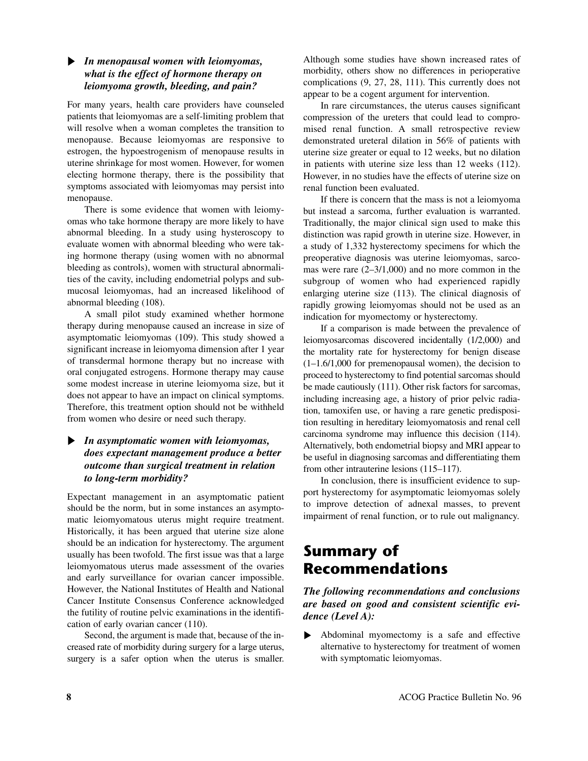#### *In menopausal women with leiomyomas, what is the effect of hormone therapy on leiomyoma growth, bleeding, and pain?*

For many years, health care providers have counseled patients that leiomyomas are a self-limiting problem that will resolve when a woman completes the transition to menopause. Because leiomyomas are responsive to estrogen, the hypoestrogenism of menopause results in uterine shrinkage for most women. However, for women electing hormone therapy, there is the possibility that symptoms associated with leiomyomas may persist into menopause.

There is some evidence that women with leiomyomas who take hormone therapy are more likely to have abnormal bleeding. In a study using hysteroscopy to evaluate women with abnormal bleeding who were taking hormone therapy (using women with no abnormal bleeding as controls), women with structural abnormalities of the cavity, including endometrial polyps and submucosal leiomyomas, had an increased likelihood of abnormal bleeding (108).

A small pilot study examined whether hormone therapy during menopause caused an increase in size of asymptomatic leiomyomas (109). This study showed a significant increase in leiomyoma dimension after 1 year of transdermal hormone therapy but no increase with oral conjugated estrogens. Hormone therapy may cause some modest increase in uterine leiomyoma size, but it does not appear to have an impact on clinical symptoms. Therefore, this treatment option should not be withheld from women who desire or need such therapy.

### *In asymptomatic women with leiomyomas, does expectant management produce a better outcome than surgical treatment in relation to long-term morbidity?*

Expectant management in an asymptomatic patient should be the norm, but in some instances an asymptomatic leiomyomatous uterus might require treatment. Historically, it has been argued that uterine size alone should be an indication for hysterectomy. The argument usually has been twofold. The first issue was that a large leiomyomatous uterus made assessment of the ovaries and early surveillance for ovarian cancer impossible. However, the National Institutes of Health and National Cancer Institute Consensus Conference acknowledged the futility of routine pelvic examinations in the identification of early ovarian cancer (110).

Second, the argument is made that, because of the increased rate of morbidity during surgery for a large uterus, surgery is a safer option when the uterus is smaller. Although some studies have shown increased rates of morbidity, others show no differences in perioperative complications (9, 27, 28, 111). This currently does not appear to be a cogent argument for intervention.

In rare circumstances, the uterus causes significant compression of the ureters that could lead to compromised renal function. A small retrospective review demonstrated ureteral dilation in 56% of patients with uterine size greater or equal to 12 weeks, but no dilation in patients with uterine size less than 12 weeks (112). However, in no studies have the effects of uterine size on renal function been evaluated.

If there is concern that the mass is not a leiomyoma but instead a sarcoma, further evaluation is warranted. Traditionally, the major clinical sign used to make this distinction was rapid growth in uterine size. However, in a study of 1,332 hysterectomy specimens for which the preoperative diagnosis was uterine leiomyomas, sarcomas were rare (2–3/1,000) and no more common in the subgroup of women who had experienced rapidly enlarging uterine size (113). The clinical diagnosis of rapidly growing leiomyomas should not be used as an indication for myomectomy or hysterectomy.

If a comparison is made between the prevalence of leiomyosarcomas discovered incidentally (1/2,000) and the mortality rate for hysterectomy for benign disease (1–1.6/1,000 for premenopausal women), the decision to proceed to hysterectomy to find potential sarcomas should be made cautiously (111). Other risk factors for sarcomas, including increasing age, a history of prior pelvic radiation, tamoxifen use, or having a rare genetic predisposition resulting in hereditary leiomyomatosis and renal cell carcinoma syndrome may influence this decision (114). Alternatively, both endometrial biopsy and MRI appear to be useful in diagnosing sarcomas and differentiating them from other intrauterine lesions (115–117).

In conclusion, there is insufficient evidence to support hysterectomy for asymptomatic leiomyomas solely to improve detection of adnexal masses, to prevent impairment of renal function, or to rule out malignancy.

# **Summary of Recommendations**

*The following recommendations and conclusions are based on good and consistent scientific evidence (Level A):*

Abdominal myomectomy is a safe and effective alternative to hysterectomy for treatment of women with symptomatic leiomyomas.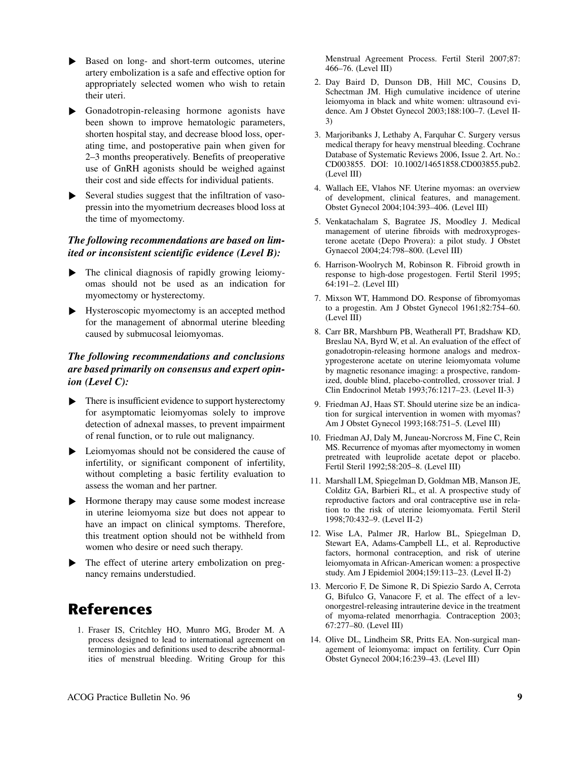- Based on long- and short-term outcomes, uterine artery embolization is a safe and effective option for appropriately selected women who wish to retain their uteri.
- Gonadotropin-releasing hormone agonists have been shown to improve hematologic parameters, shorten hospital stay, and decrease blood loss, operating time, and postoperative pain when given for 2–3 months preoperatively. Benefits of preoperative use of GnRH agonists should be weighed against their cost and side effects for individual patients.
- Several studies suggest that the infiltration of vasopressin into the myometrium decreases blood loss at the time of myomectomy.

#### *The following recommendations are based on limited or inconsistent scientific evidence (Level B):*

- The clinical diagnosis of rapidly growing leiomyomas should not be used as an indication for myomectomy or hysterectomy.
- Hysteroscopic myomectomy is an accepted method for the management of abnormal uterine bleeding caused by submucosal leiomyomas.

#### *The following recommendations and conclusions are based primarily on consensus and expert opinion (Level C):*

- There is insufficient evidence to support hysterectomy for asymptomatic leiomyomas solely to improve detection of adnexal masses, to prevent impairment of renal function, or to rule out malignancy.
- Leiomyomas should not be considered the cause of infertility, or significant component of infertility, without completing a basic fertility evaluation to assess the woman and her partner.
- Hormone therapy may cause some modest increase in uterine leiomyoma size but does not appear to have an impact on clinical symptoms. Therefore, this treatment option should not be withheld from women who desire or need such therapy.
- The effect of uterine artery embolization on pregnancy remains understudied.

# **References**

1. Fraser IS, Critchley HO, Munro MG, Broder M. A process designed to lead to international agreement on terminologies and definitions used to describe abnormalities of menstrual bleeding. Writing Group for this Menstrual Agreement Process. Fertil Steril 2007;87: 466–76. (Level III)

- 2. Day Baird D, Dunson DB, Hill MC, Cousins D, Schectman JM. High cumulative incidence of uterine leiomyoma in black and white women: ultrasound evidence. Am J Obstet Gynecol 2003;188:100–7. (Level II-3)
- 3. Marjoribanks J, Lethaby A, Farquhar C. Surgery versus medical therapy for heavy menstrual bleeding. Cochrane Database of Systematic Reviews 2006, Issue 2. Art. No.: CD003855. DOI: 10.1002/14651858.CD003855.pub2. (Level III)
- 4. Wallach EE, Vlahos NF. Uterine myomas: an overview of development, clinical features, and management. Obstet Gynecol 2004;104:393–406. (Level III)
- 5. Venkatachalam S, Bagratee JS, Moodley J. Medical management of uterine fibroids with medroxyprogesterone acetate (Depo Provera): a pilot study. J Obstet Gynaecol 2004;24:798–800. (Level III)
- 6. Harrison-Woolrych M, Robinson R. Fibroid growth in response to high-dose progestogen. Fertil Steril 1995; 64:191–2. (Level III)
- 7. Mixson WT, Hammond DO. Response of fibromyomas to a progestin. Am J Obstet Gynecol 1961;82:754–60. (Level III)
- 8. Carr BR, Marshburn PB, Weatherall PT, Bradshaw KD, Breslau NA, Byrd W, et al. An evaluation of the effect of gonadotropin-releasing hormone analogs and medroxyprogesterone acetate on uterine leiomyomata volume by magnetic resonance imaging: a prospective, randomized, double blind, placebo-controlled, crossover trial. J Clin Endocrinol Metab 1993;76:1217–23. (Level II-3)
- 9. Friedman AJ, Haas ST. Should uterine size be an indication for surgical intervention in women with myomas? Am J Obstet Gynecol 1993;168:751–5. (Level III)
- 10. Friedman AJ, Daly M, Juneau-Norcross M, Fine C, Rein MS. Recurrence of myomas after myomectomy in women pretreated with leuprolide acetate depot or placebo. Fertil Steril 1992;58:205–8. (Level III)
- 11. Marshall LM, Spiegelman D, Goldman MB, Manson JE, Colditz GA, Barbieri RL, et al. A prospective study of reproductive factors and oral contraceptive use in relation to the risk of uterine leiomyomata. Fertil Steril 1998;70:432–9. (Level II-2)
- 12. Wise LA, Palmer JR, Harlow BL, Spiegelman D, Stewart EA, Adams-Campbell LL, et al. Reproductive factors, hormonal contraception, and risk of uterine leiomyomata in African-American women: a prospective study. Am J Epidemiol 2004;159:113–23. (Level II-2)
- 13. Mercorio F, De Simone R, Di Spiezio Sardo A, Cerrota G, Bifulco G, Vanacore F, et al. The effect of a levonorgestrel-releasing intrauterine device in the treatment of myoma-related menorrhagia. Contraception 2003; 67:277–80. (Level III)
- 14. Olive DL, Lindheim SR, Pritts EA. Non-surgical management of leiomyoma: impact on fertility. Curr Opin Obstet Gynecol 2004;16:239–43. (Level III)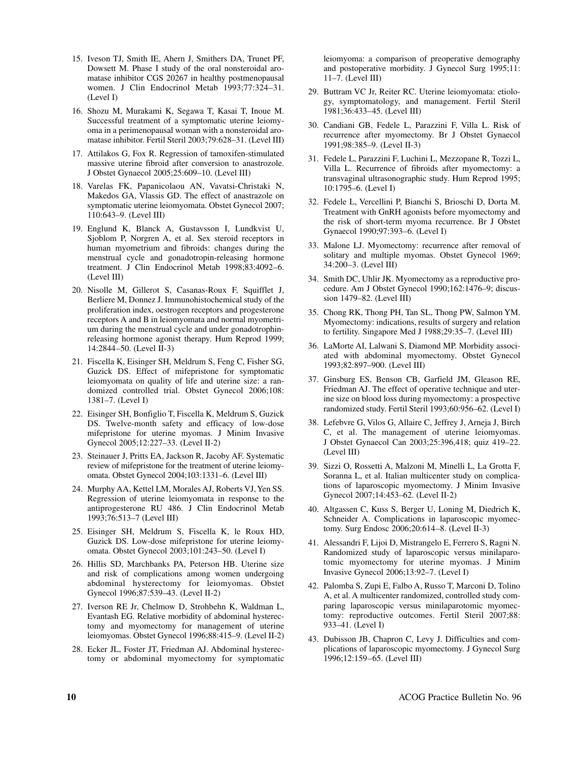- 15. Iveson TJ, Smith IE, Ahern J, Smithers DA, Trunet PF, Dowsett M. Phase I study of the oral nonsteroidal aromatase inhibitor CGS 20267 in healthy postmenopausal women. J Clin Endocrinol Metab 1993;77:324–31. (Level I)
- 16. Shozu M, Murakami K, Segawa T, Kasai T, Inoue M. Successful treatment of a symptomatic uterine leiomyoma in a perimenopausal woman with a nonsteroidal aromatase inhibitor. Fertil Steril 2003;79:628–31. (Level III)
- 17. Attilakos G, Fox R. Regression of tamoxifen-stimulated massive uterine fibroid after conversion to anastrozole. J Obstet Gynaecol 2005;25:609–10. (Level III)
- 18. Varelas FK, Papanicolaou AN, Vavatsi-Christaki N, Makedos GA, Vlassis GD. The effect of anastrazole on symptomatic uterine leiomyomata. Obstet Gynecol 2007; 110:643–9. (Level III)
- 19. Englund K, Blanck A, Gustavsson I, Lundkvist U, Sjoblom P, Norgren A, et al. Sex steroid receptors in human myometrium and fibroids: changes during the menstrual cycle and gonadotropin-releasing hormone treatment. J Clin Endocrinol Metab 1998;83:4092–6. (Level III)
- 20. Nisolle M, Gillerot S, Casanas-Roux F, Squifflet J, Berliere M, Donnez J. Immunohistochemical study of the proliferation index, oestrogen receptors and progesterone receptors A and B in leiomyomata and normal myometrium during the menstrual cycle and under gonadotrophinreleasing hormone agonist therapy. Hum Reprod 1999; 14:2844–50. (Level II-3)
- 21. Fiscella K, Eisinger SH, Meldrum S, Feng C, Fisher SG, Guzick DS. Effect of mifepristone for symptomatic leiomyomata on quality of life and uterine size: a randomized controlled trial. Obstet Gynecol 2006;108: 1381–7. (Level I)
- 22. Eisinger SH, Bonfiglio T, Fiscella K, Meldrum S, Guzick DS. Twelve-month safety and efficacy of low-dose mifepristone for uterine myomas. J Minim Invasive Gynecol 2005;12:227–33. (Level II-2)
- 23. Steinauer J, Pritts EA, Jackson R, Jacoby AF. Systematic review of mifepristone for the treatment of uterine leiomyomata. Obstet Gynecol 2004;103:1331–6. (Level III)
- 24. Murphy AA, Kettel LM, Morales AJ, Roberts VJ,Yen SS. Regression of uterine leiomyomata in response to the antiprogesterone RU 486. J Clin Endocrinol Metab 1993;76:513–7 (Level III)
- 25. Eisinger SH, Meldrum S, Fiscella K, le Roux HD, Guzick DS. Low-dose mifepristone for uterine leiomyomata. Obstet Gynecol 2003;101:243–50. (Level I)
- 26. Hillis SD, Marchbanks PA, Peterson HB. Uterine size and risk of complications among women undergoing abdominal hysterectomy for leiomyomas. Obstet Gynecol 1996;87:539–43. (Level II-2)
- 27. Iverson RE Jr, Chelmow D, Strohbehn K, Waldman L, Evantash EG. Relative morbidity of abdominal hysterectomy and myomectomy for management of uterine leiomyomas. Obstet Gynecol 1996;88:415–9. (Level II-2)
- 28. Ecker JL, Foster JT, Friedman AJ. Abdominal hysterectomy or abdominal myomectomy for symptomatic

leiomyoma: a comparison of preoperative demography and postoperative morbidity. J Gynecol Surg 1995;11: 11–7. (Level III)

- 29. Buttram VC Jr, Reiter RC. Uterine leiomyomata: etiology, symptomatology, and management. Fertil Steril 1981;36:433–45. (Level III)
- 30. Candiani GB, Fedele L, Parazzini F, Villa L. Risk of recurrence after myomectomy. Br J Obstet Gynaecol 1991;98:385–9. (Level II-3)
- 31. Fedele L, Parazzini F, Luchini L, Mezzopane R, Tozzi L, Villa L. Recurrence of fibroids after myomectomy: a transvaginal ultrasonographic study. Hum Reprod 1995; 10:1795–6. (Level I)
- 32. Fedele L, Vercellini P, Bianchi S, Brioschi D, Dorta M. Treatment with GnRH agonists before myomectomy and the risk of short-term myoma recurrence. Br J Obstet Gynaecol 1990;97:393–6. (Level I)
- 33. Malone LJ. Myomectomy: recurrence after removal of solitary and multiple myomas. Obstet Gynecol 1969; 34:200–3. (Level III)
- 34. Smith DC, Uhlir JK. Myomectomy as a reproductive procedure. Am J Obstet Gynecol 1990;162:1476–9; discussion 1479–82. (Level III)
- 35. Chong RK, Thong PH, Tan SL, Thong PW, Salmon YM. Myomectomy: indications, results of surgery and relation to fertility. Singapore Med J 1988;29:35–7. (Level III)
- 36. LaMorte AI, Lalwani S, Diamond MP. Morbidity associated with abdominal myomectomy. Obstet Gynecol 1993;82:897–900. (Level III)
- 37. Ginsburg ES, Benson CB, Garfield JM, Gleason RE, Friedman AJ. The effect of operative technique and uterine size on blood loss during myomectomy: a prospective randomized study. Fertil Steril 1993;60:956–62. (Level I)
- 38. Lefebvre G, Vilos G, Allaire C, Jeffrey J, Arneja J, Birch C, et al. The management of uterine leiomyomas. J Obstet Gynaecol Can 2003;25:396,418; quiz 419–22. (Level III)
- 39. Sizzi O, Rossetti A, Malzoni M, Minelli L, La Grotta F, Soranna L, et al. Italian multicenter study on complications of laparoscopic myomectomy. J Minim Invasive Gynecol 2007;14:453–62. (Level II-2)
- 40. Altgassen C, Kuss S, Berger U, Loning M, Diedrich K, Schneider A. Complications in laparoscopic myomectomy. Surg Endosc 2006;20:614–8. (Level II-3)
- 41. Alessandri F, Lijoi D, Mistrangelo E, Ferrero S, Ragni N. Randomized study of laparoscopic versus minilaparotomic myomectomy for uterine myomas. J Minim Invasive Gynecol 2006;13:92–7. (Level I)
- 42. Palomba S, Zupi E, Falbo A, Russo T, Marconi D, Tolino A, et al. A multicenter randomized, controlled study comparing laparoscopic versus minilaparotomic myomectomy: reproductive outcomes. Fertil Steril 2007;88: 933–41. (Level I)
- 43. Dubisson JB, Chapron C, Levy J. Difficulties and complications of laparoscopic myomectomy. J Gynecol Surg 1996;12:159–65. (Level III)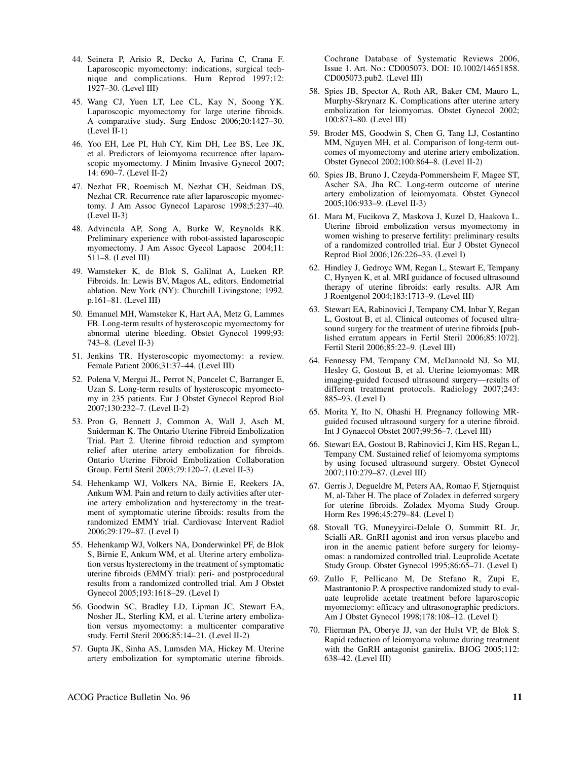- 44. Seinera P, Arisio R, Decko A, Farina C, Crana F. Laparoscopic myomectomy: indications, surgical technique and complications. Hum Reprod 1997;12: 1927–30. (Level III)
- 45. Wang CJ, Yuen LT, Lee CL, Kay N, Soong YK. Laparoscopic myomectomy for large uterine fibroids. A comparative study. Surg Endosc 2006;20:1427–30. (Level II-1)
- 46. Yoo EH, Lee PI, Huh CY, Kim DH, Lee BS, Lee JK, et al. Predictors of leiomyoma recurrence after laparoscopic myomectomy. J Minim Invasive Gynecol 2007; 14: 690–7. (Level II-2)
- 47. Nezhat FR, Roemisch M, Nezhat CH, Seidman DS, Nezhat CR. Recurrence rate after laparoscopic myomectomy. J Am Assoc Gynecol Laparosc 1998;5:237–40. (Level II-3)
- 48. Advincula AP, Song A, Burke W, Reynolds RK. Preliminary experience with robot-assisted laparoscopic myomectomy. J Am Assoc Gyecol Lapaosc 2004;11: 511–8. (Level III)
- 49. Wamsteker K, de Blok S, Galilnat A, Lueken RP. Fibroids. In: Lewis BV, Magos AL, editors. Endometrial ablation. New York (NY): Churchill Livingstone; 1992. p.161–81. (Level III)
- 50. Emanuel MH, Wamsteker K, Hart AA, Metz G, Lammes FB. Long-term results of hysteroscopic myomectomy for abnormal uterine bleeding. Obstet Gynecol 1999;93: 743–8. (Level II-3)
- 51. Jenkins TR. Hysteroscopic myomectomy: a review. Female Patient 2006;31:37–44. (Level III)
- 52. Polena V, Mergui JL, Perrot N, Poncelet C, Barranger E, Uzan S. Long-term results of hysteroscopic myomectomy in 235 patients. Eur J Obstet Gynecol Reprod Biol 2007;130:232–7. (Level II-2)
- 53. Pron G, Bennett J, Common A, Wall J, Asch M, Sniderman K. The Ontario Uterine Fibroid Embolization Trial. Part 2. Uterine fibroid reduction and symptom relief after uterine artery embolization for fibroids. Ontario Uterine Fibroid Embolization Collaboration Group. Fertil Steril 2003;79:120–7. (Level II-3)
- 54. Hehenkamp WJ, Volkers NA, Birnie E, Reekers JA, Ankum WM. Pain and return to daily activities after uterine artery embolization and hysterectomy in the treatment of symptomatic uterine fibroids: results from the randomized EMMY trial. Cardiovasc Intervent Radiol 2006;29:179–87. (Level I)
- 55. Hehenkamp WJ, Volkers NA, Donderwinkel PF, de Blok S, Birnie E, Ankum WM, et al. Uterine artery embolization versus hysterectomy in the treatment of symptomatic uterine fibroids (EMMY trial): peri- and postprocedural results from a randomized controlled trial. Am J Obstet Gynecol 2005;193:1618–29. (Level I)
- 56. Goodwin SC, Bradley LD, Lipman JC, Stewart EA, Nosher JL, Sterling KM, et al. Uterine artery embolization versus myomectomy: a multicenter comparative study. Fertil Steril 2006;85:14–21. (Level II-2)
- 57. Gupta JK, Sinha AS, Lumsden MA, Hickey M. Uterine artery embolization for symptomatic uterine fibroids.

Cochrane Database of Systematic Reviews 2006, Issue 1. Art. No.: CD005073. DOI: 10.1002/14651858. CD005073.pub2. (Level III)

- 58. Spies JB, Spector A, Roth AR, Baker CM, Mauro L, Murphy-Skrynarz K. Complications after uterine artery embolization for leiomyomas. Obstet Gynecol 2002; 100:873–80. (Level III)
- 59. Broder MS, Goodwin S, Chen G, Tang LJ, Costantino MM, Nguyen MH, et al. Comparison of long-term outcomes of myomectomy and uterine artery embolization. Obstet Gynecol 2002;100:864–8. (Level II-2)
- 60. Spies JB, Bruno J, Czeyda-Pommersheim F, Magee ST, Ascher SA, Jha RC. Long-term outcome of uterine artery embolization of leiomyomata. Obstet Gynecol 2005;106:933–9. (Level II-3)
- 61. Mara M, Fucikova Z, Maskova J, Kuzel D, Haakova L. Uterine fibroid embolization versus myomectomy in women wishing to preserve fertility: preliminary results of a randomized controlled trial. Eur J Obstet Gynecol Reprod Biol 2006;126:226–33. (Level I)
- 62. Hindley J, Gedroyc WM, Regan L, Stewart E, Tempany C, Hynyen K, et al. MRI guidance of focused ultrasound therapy of uterine fibroids: early results. AJR Am J Roentgenol 2004;183:1713–9. (Level III)
- 63. Stewart EA, Rabinovici J, Tempany CM, Inbar Y, Regan L, Gostout B, et al. Clinical outcomes of focused ultrasound surgery for the treatment of uterine fibroids [published erratum appears in Fertil Steril 2006;85:1072]. Fertil Steril 2006;85:22–9. (Level III)
- 64. Fennessy FM, Tempany CM, McDannold NJ, So MJ, Hesley G, Gostout B, et al. Uterine leiomyomas: MR imaging-guided focused ultrasound surgery—results of different treatment protocols. Radiology 2007;243: 885–93. (Level I)
- 65. Morita Y, Ito N, Ohashi H. Pregnancy following MRguided focused ultrasound surgery for a uterine fibroid. Int J Gynaecol Obstet 2007;99:56–7. (Level III)
- 66. Stewart EA, Gostout B, Rabinovici J, Kim HS, Regan L, Tempany CM. Sustained relief of leiomyoma symptoms by using focused ultrasound surgery. Obstet Gynecol 2007;110:279–87. (Level III)
- 67. Gerris J, Degueldre M, Peters AA, Romao F, Stjernquist M, al-Taher H. The place of Zoladex in deferred surgery for uterine fibroids. Zoladex Myoma Study Group. Horm Res 1996;45:279–84. (Level I)
- 68. Stovall TG, Muneyyirci-Delale O, Summitt RL Jr, Scialli AR. GnRH agonist and iron versus placebo and iron in the anemic patient before surgery for leiomyomas: a randomized controlled trial. Leuprolide Acetate Study Group. Obstet Gynecol 1995;86:65–71. (Level I)
- 69. Zullo F, Pellicano M, De Stefano R, Zupi E, Mastrantonio P. A prospective randomized study to evaluate leuprolide acetate treatment before laparoscopic myomectomy: efficacy and ultrasonographic predictors. Am J Obstet Gynecol 1998;178:108–12. (Level I)
- 70. Flierman PA, Oberye JJ, van der Hulst VP, de Blok S. Rapid reduction of leiomyoma volume during treatment with the GnRH antagonist ganirelix. BJOG 2005;112: 638–42. (Level III)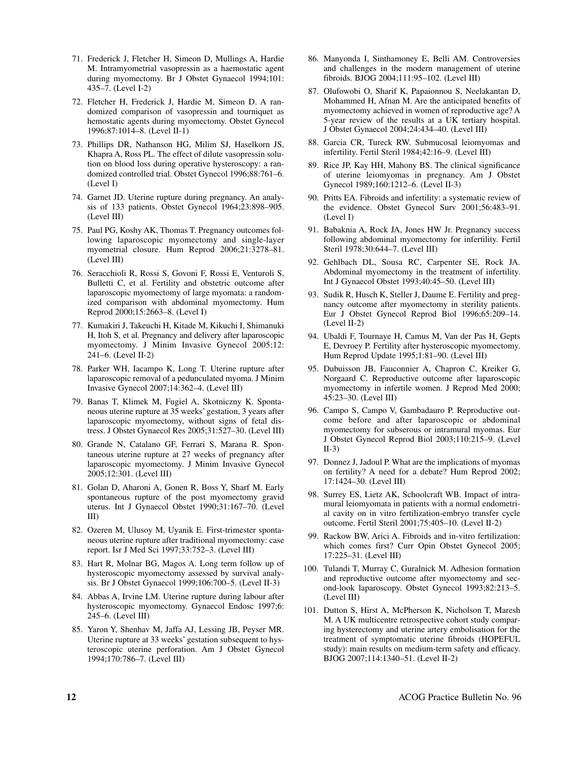- 71. Frederick J, Fletcher H, Simeon D, Mullings A, Hardie M. Intramyometrial vasopressin as a haemostatic agent during myomectomy. Br J Obstet Gynaecol 1994;101: 435–7. (Level I-2)
- 72. Fletcher H, Frederick J, Hardie M, Simeon D. A randomized comparison of vasopressin and tourniquet as hemostatic agents during myomectomy. Obstet Gynecol 1996;87:1014–8. (Level II-1)
- 73. Phillips DR, Nathanson HG, Milim SJ, Haselkorn JS, Khapra A, Ross PL. The effect of dilute vasopressin solution on blood loss during operative hysteroscopy: a randomized controlled trial. Obstet Gynecol 1996;88:761–6. (Level I)
- 74. Garnet JD. Uterine rupture during pregnancy. An analysis of 133 patients. Obstet Gynecol 1964;23:898–905. (Level III)
- 75. Paul PG, Koshy AK, Thomas T. Pregnancy outcomes following laparoscopic myomectomy and single-layer myometrial closure. Hum Reprod 2006;21:3278–81. (Level III)
- 76. Seracchioli R, Rossi S, Govoni F, Rossi E, Venturoli S, Bulletti C, et al. Fertility and obstetric outcome after laparoscopic myomectomy of large myomata: a randomized comparison with abdominal myomectomy. Hum Reprod 2000;15:2663–8. (Level I)
- 77. Kumakiri J, Takeuchi H, Kitade M, Kikuchi I, Shimanuki H, Itoh S, et al. Pregnancy and delivery after laparoscopic myomectomy. J Minim Invasive Gynecol 2005;12: 241–6. (Level II-2)
- 78. Parker WH, Iacampo K, Long T. Uterine rupture after laparoscopic removal of a pedunculated myoma. J Minim Invasive Gynecol 2007;14:362–4. (Level III)
- 79. Banas T, Klimek M, Fugiel A, Skotniczny K. Spontaneous uterine rupture at 35 weeks' gestation, 3 years after laparoscopic myomectomy, without signs of fetal distress. J Obstet Gynaecol Res 2005;31:527–30. (Level III)
- 80. Grande N, Catalano GF, Ferrari S, Marana R. Spontaneous uterine rupture at 27 weeks of pregnancy after laparoscopic myomectomy. J Minim Invasive Gynecol 2005;12:301. (Level III)
- 81. Golan D, Aharoni A, Gonen R, Boss Y, Sharf M. Early spontaneous rupture of the post myomectomy gravid uterus. Int J Gynaecol Obstet 1990;31:167–70. (Level III)
- 82. Ozeren M, Ulusoy M, Uyanik E. First-trimester spontaneous uterine rupture after traditional myomectomy: case report. Isr J Med Sci 1997;33:752–3. (Level III)
- 83. Hart R, Molnar BG, Magos A. Long term follow up of hysteroscopic myomectomy assessed by survival analysis. Br J Obstet Gynaecol 1999;106:700–5. (Level II-3)
- 84. Abbas A, Irvine LM. Uterine rupture during labour after hysteroscopic myomectomy. Gynaecol Endosc 1997;6: 245–6. (Level III)
- 85. Yaron Y, Shenhav M, Jaffa AJ, Lessing JB, Peyser MR. Uterine rupture at 33 weeks' gestation subsequent to hysteroscopic uterine perforation. Am J Obstet Gynecol 1994;170:786–7. (Level III)
- 86. Manyonda I, Sinthamoney E, Belli AM. Controversies and challenges in the modern management of uterine fibroids. BJOG 2004;111:95–102. (Level III)
- 87. Olufowobi O, Sharif K, Papaionnou S, Neelakantan D, Mohammed H, Afnan M. Are the anticipated benefits of myomectomy achieved in women of reproductive age? A 5-year review of the results at a UK tertiary hospital. J Obstet Gynaecol 2004;24:434–40. (Level III)
- 88. Garcia CR, Tureck RW. Submucosal leiomyomas and infertility. Fertil Steril 1984;42:16–9. (Level III)
- 89. Rice JP, Kay HH, Mahony BS. The clinical significance of uterine leiomyomas in pregnancy. Am J Obstet Gynecol 1989;160:1212–6. (Level II-3)
- 90. Pritts EA. Fibroids and infertility: a systematic review of the evidence. Obstet Gynecol Surv 2001;56:483–91. (Level I)
- 91. Babaknia A, Rock JA, Jones HW Jr. Pregnancy success following abdominal myomectomy for infertility. Fertil Steril 1978;30:644–7. (Level III)
- 92. Gehlbach DL, Sousa RC, Carpenter SE, Rock JA. Abdominal myomectomy in the treatment of infertility. Int J Gynaecol Obstet 1993;40:45–50. (Level III)
- 93. Sudik R, Husch K, Steller J, Daume E. Fertility and pregnancy outcome after myomectomy in sterility patients. Eur J Obstet Gynecol Reprod Biol 1996;65:209–14. (Level II-2)
- 94. Ubaldi F, Tournaye H, Camus M, Van der Pas H, Gepts E, Devroey P. Fertility after hysteroscopic myomectomy. Hum Reprod Update 1995;1:81–90. (Level III)
- 95. Dubuisson JB, Fauconnier A, Chapron C, Kreiker G, Norgaard C. Reproductive outcome after laparoscopic myomectomy in infertile women. J Reprod Med 2000; 45:23–30. (Level III)
- 96. Campo S, Campo V, Gambadauro P. Reproductive outcome before and after laparoscopic or abdominal myomectomy for subserous or intramural myomas. Eur J Obstet Gynecol Reprod Biol 2003;110:215–9. (Level II-3)
- 97. Donnez J, Jadoul P. What are the implications of myomas on fertility? A need for a debate? Hum Reprod 2002; 17:1424–30. (Level III)
- 98. Surrey ES, Lietz AK, Schoolcraft WB. Impact of intramural leiomyomata in patients with a normal endometrial cavity on in vitro fertilization-embryo transfer cycle outcome. Fertil Steril 2001;75:405–10. (Level II-2)
- 99. Rackow BW, Arici A. Fibroids and in-vitro fertilization: which comes first? Curr Opin Obstet Gynecol 2005; 17:225–31. (Level III)
- 100. Tulandi T, Murray C, Guralnick M. Adhesion formation and reproductive outcome after myomectomy and second-look laparoscopy. Obstet Gynecol 1993;82:213–5. (Level III)
- 101. Dutton S, Hirst A, McPherson K, Nicholson T, Maresh M. A UK multicentre retrospective cohort study comparing hysterectomy and uterine artery embolisation for the treatment of symptomatic uterine fibroids (HOPEFUL study): main results on medium-term safety and efficacy. BJOG 2007;114:1340–51. (Level II-2)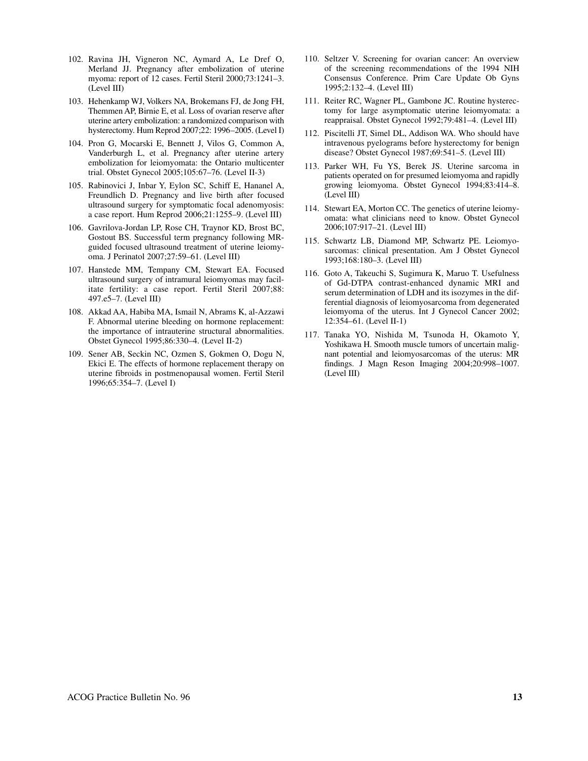- 102. Ravina JH, Vigneron NC, Aymard A, Le Dref O, Merland JJ. Pregnancy after embolization of uterine myoma: report of 12 cases. Fertil Steril 2000;73:1241–3. (Level III)
- 103. Hehenkamp WJ, Volkers NA, Brokemans FJ, de Jong FH, Themmen AP, Birnie E, et al. Loss of ovarian reserve after uterine artery embolization: a randomized comparison with hysterectomy. Hum Reprod 2007;22: 1996–2005. (Level I)
- 104. Pron G, Mocarski E, Bennett J, Vilos G, Common A, Vanderburgh L, et al. Pregnancy after uterine artery embolization for leiomyomata: the Ontario multicenter trial. Obstet Gynecol 2005;105:67–76. (Level II-3)
- 105. Rabinovici J, Inbar Y, Eylon SC, Schiff E, Hananel A, Freundlich D. Pregnancy and live birth after focused ultrasound surgery for symptomatic focal adenomyosis: a case report. Hum Reprod 2006;21:1255–9. (Level III)
- 106. Gavrilova-Jordan LP, Rose CH, Traynor KD, Brost BC, Gostout BS. Successful term pregnancy following MRguided focused ultrasound treatment of uterine leiomyoma. J Perinatol 2007;27:59–61. (Level III)
- 107. Hanstede MM, Tempany CM, Stewart EA. Focused ultrasound surgery of intramural leiomyomas may facilitate fertility: a case report. Fertil Steril 2007;88: 497.e5–7. (Level III)
- 108. Akkad AA, Habiba MA, Ismail N, Abrams K, al-Azzawi F. Abnormal uterine bleeding on hormone replacement: the importance of intrauterine structural abnormalities. Obstet Gynecol 1995;86:330–4. (Level II-2)
- 109. Sener AB, Seckin NC, Ozmen S, Gokmen O, Dogu N, Ekici E. The effects of hormone replacement therapy on uterine fibroids in postmenopausal women. Fertil Steril 1996;65:354–7. (Level I)
- 110. Seltzer V. Screening for ovarian cancer: An overview of the screening recommendations of the 1994 NIH Consensus Conference. Prim Care Update Ob Gyns 1995;2:132–4. (Level III)
- 111. Reiter RC, Wagner PL, Gambone JC. Routine hysterectomy for large asymptomatic uterine leiomyomata: a reappraisal. Obstet Gynecol 1992;79:481–4. (Level III)
- 112. Piscitelli JT, Simel DL, Addison WA. Who should have intravenous pyelograms before hysterectomy for benign disease? Obstet Gynecol 1987;69:541–5. (Level III)
- 113. Parker WH, Fu YS, Berek JS. Uterine sarcoma in patients operated on for presumed leiomyoma and rapidly growing leiomyoma. Obstet Gynecol 1994;83:414–8. (Level III)
- 114. Stewart EA, Morton CC. The genetics of uterine leiomyomata: what clinicians need to know. Obstet Gynecol 2006;107:917–21. (Level III)
- 115. Schwartz LB, Diamond MP, Schwartz PE. Leiomyosarcomas: clinical presentation. Am J Obstet Gynecol 1993;168:180–3. (Level III)
- 116. Goto A, Takeuchi S, Sugimura K, Maruo T. Usefulness of Gd-DTPA contrast-enhanced dynamic MRI and serum determination of LDH and its isozymes in the differential diagnosis of leiomyosarcoma from degenerated leiomyoma of the uterus. Int J Gynecol Cancer 2002; 12:354–61. (Level II-1)
- 117. Tanaka YO, Nishida M, Tsunoda H, Okamoto Y, Yoshikawa H. Smooth muscle tumors of uncertain malignant potential and leiomyosarcomas of the uterus: MR findings. J Magn Reson Imaging 2004;20:998–1007. (Level III)